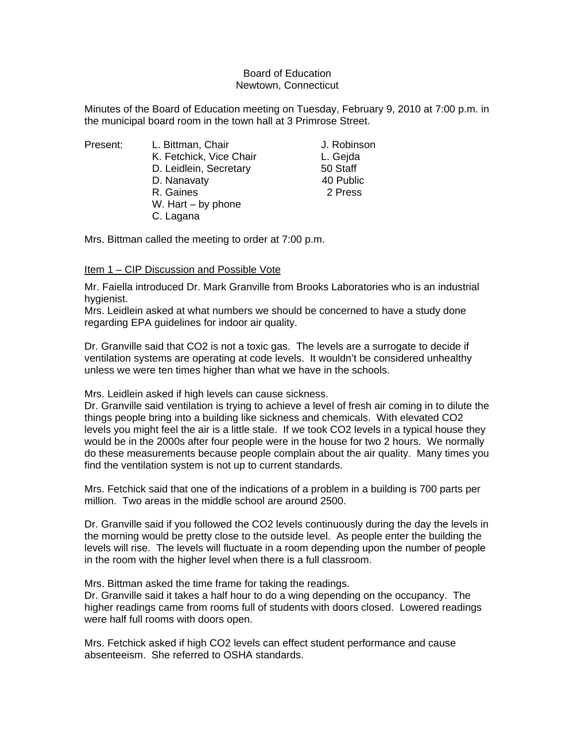## Board of Education Newtown, Connecticut

Minutes of the Board of Education meeting on Tuesday, February 9, 2010 at 7:00 p.m. in the municipal board room in the town hall at 3 Primrose Street.

- 
- Present: L. Bittman, Chair Chair J. Robinson K. Fetchick, Vice Chair **L. Gejda** D. Leidlein, Secretary 50 Staff D. Nanavaty **40 Public** R. Gaines 2 Press W. Hart – by phone C. Lagana

Mrs. Bittman called the meeting to order at 7:00 p.m.

## Item 1 – CIP Discussion and Possible Vote

Mr. Faiella introduced Dr. Mark Granville from Brooks Laboratories who is an industrial hygienist.

Mrs. Leidlein asked at what numbers we should be concerned to have a study done regarding EPA guidelines for indoor air quality.

Dr. Granville said that CO2 is not a toxic gas. The levels are a surrogate to decide if ventilation systems are operating at code levels. It wouldn't be considered unhealthy unless we were ten times higher than what we have in the schools.

Mrs. Leidlein asked if high levels can cause sickness.

Dr. Granville said ventilation is trying to achieve a level of fresh air coming in to dilute the things people bring into a building like sickness and chemicals. With elevated CO2 levels you might feel the air is a little stale. If we took CO2 levels in a typical house they would be in the 2000s after four people were in the house for two 2 hours. We normally do these measurements because people complain about the air quality. Many times you find the ventilation system is not up to current standards.

Mrs. Fetchick said that one of the indications of a problem in a building is 700 parts per million. Two areas in the middle school are around 2500.

Dr. Granville said if you followed the CO2 levels continuously during the day the levels in the morning would be pretty close to the outside level. As people enter the building the levels will rise. The levels will fluctuate in a room depending upon the number of people in the room with the higher level when there is a full classroom.

Mrs. Bittman asked the time frame for taking the readings.

Dr. Granville said it takes a half hour to do a wing depending on the occupancy. The higher readings came from rooms full of students with doors closed. Lowered readings were half full rooms with doors open.

Mrs. Fetchick asked if high CO2 levels can effect student performance and cause absenteeism. She referred to OSHA standards.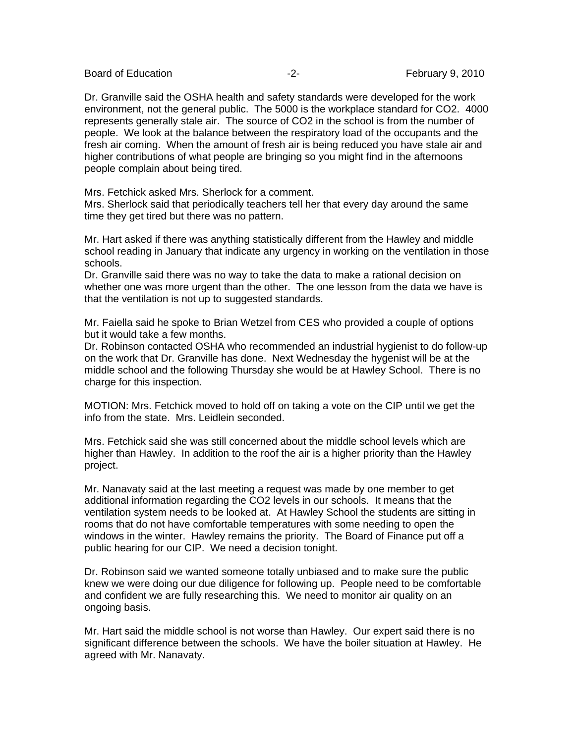Board of Education **-2-** February 9, 2010

Dr. Granville said the OSHA health and safety standards were developed for the work environment, not the general public. The 5000 is the workplace standard for CO2. 4000 represents generally stale air. The source of CO2 in the school is from the number of people. We look at the balance between the respiratory load of the occupants and the fresh air coming. When the amount of fresh air is being reduced you have stale air and higher contributions of what people are bringing so you might find in the afternoons people complain about being tired.

Mrs. Fetchick asked Mrs. Sherlock for a comment.

Mrs. Sherlock said that periodically teachers tell her that every day around the same time they get tired but there was no pattern.

Mr. Hart asked if there was anything statistically different from the Hawley and middle school reading in January that indicate any urgency in working on the ventilation in those schools.

Dr. Granville said there was no way to take the data to make a rational decision on whether one was more urgent than the other. The one lesson from the data we have is that the ventilation is not up to suggested standards.

Mr. Faiella said he spoke to Brian Wetzel from CES who provided a couple of options but it would take a few months.

Dr. Robinson contacted OSHA who recommended an industrial hygienist to do follow-up on the work that Dr. Granville has done. Next Wednesday the hygenist will be at the middle school and the following Thursday she would be at Hawley School. There is no charge for this inspection.

MOTION: Mrs. Fetchick moved to hold off on taking a vote on the CIP until we get the info from the state. Mrs. Leidlein seconded.

Mrs. Fetchick said she was still concerned about the middle school levels which are higher than Hawley. In addition to the roof the air is a higher priority than the Hawley project.

Mr. Nanavaty said at the last meeting a request was made by one member to get additional information regarding the CO2 levels in our schools. It means that the ventilation system needs to be looked at. At Hawley School the students are sitting in rooms that do not have comfortable temperatures with some needing to open the windows in the winter. Hawley remains the priority. The Board of Finance put off a public hearing for our CIP. We need a decision tonight.

Dr. Robinson said we wanted someone totally unbiased and to make sure the public knew we were doing our due diligence for following up. People need to be comfortable and confident we are fully researching this. We need to monitor air quality on an ongoing basis.

Mr. Hart said the middle school is not worse than Hawley. Our expert said there is no significant difference between the schools. We have the boiler situation at Hawley. He agreed with Mr. Nanavaty.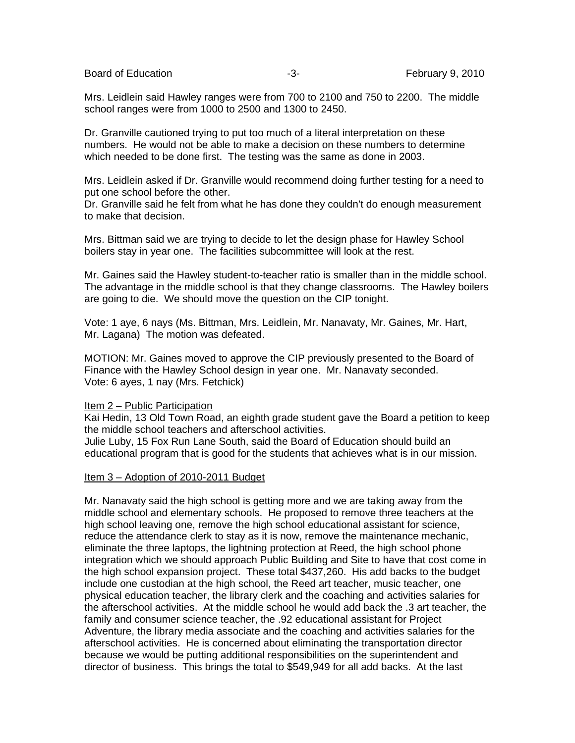Board of Education **-3-** February 9, 2010

Mrs. Leidlein said Hawley ranges were from 700 to 2100 and 750 to 2200. The middle school ranges were from 1000 to 2500 and 1300 to 2450.

Dr. Granville cautioned trying to put too much of a literal interpretation on these numbers. He would not be able to make a decision on these numbers to determine which needed to be done first. The testing was the same as done in 2003.

Mrs. Leidlein asked if Dr. Granville would recommend doing further testing for a need to put one school before the other.

Dr. Granville said he felt from what he has done they couldn't do enough measurement to make that decision.

Mrs. Bittman said we are trying to decide to let the design phase for Hawley School boilers stay in year one. The facilities subcommittee will look at the rest.

Mr. Gaines said the Hawley student-to-teacher ratio is smaller than in the middle school. The advantage in the middle school is that they change classrooms. The Hawley boilers are going to die. We should move the question on the CIP tonight.

Vote: 1 aye, 6 nays (Ms. Bittman, Mrs. Leidlein, Mr. Nanavaty, Mr. Gaines, Mr. Hart, Mr. Lagana) The motion was defeated.

MOTION: Mr. Gaines moved to approve the CIP previously presented to the Board of Finance with the Hawley School design in year one. Mr. Nanavaty seconded. Vote: 6 ayes, 1 nay (Mrs. Fetchick)

## Item 2 – Public Participation

Kai Hedin, 13 Old Town Road, an eighth grade student gave the Board a petition to keep the middle school teachers and afterschool activities. Julie Luby, 15 Fox Run Lane South, said the Board of Education should build an educational program that is good for the students that achieves what is in our mission.

## Item 3 – Adoption of 2010-2011 Budget

Mr. Nanavaty said the high school is getting more and we are taking away from the middle school and elementary schools. He proposed to remove three teachers at the high school leaving one, remove the high school educational assistant for science, reduce the attendance clerk to stay as it is now, remove the maintenance mechanic, eliminate the three laptops, the lightning protection at Reed, the high school phone integration which we should approach Public Building and Site to have that cost come in the high school expansion project. These total \$437,260. His add backs to the budget include one custodian at the high school, the Reed art teacher, music teacher, one physical education teacher, the library clerk and the coaching and activities salaries for the afterschool activities. At the middle school he would add back the .3 art teacher, the family and consumer science teacher, the .92 educational assistant for Project Adventure, the library media associate and the coaching and activities salaries for the afterschool activities. He is concerned about eliminating the transportation director because we would be putting additional responsibilities on the superintendent and director of business. This brings the total to \$549,949 for all add backs. At the last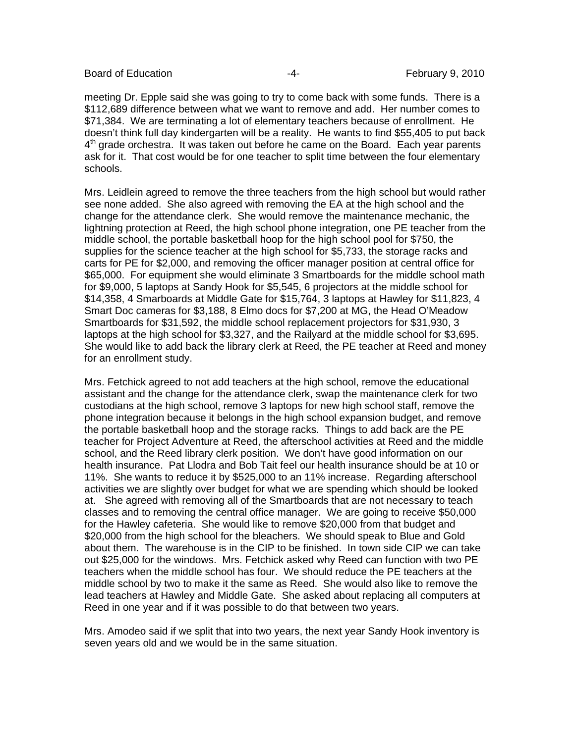Board of Education **Francisco Community** 14- **February 9, 2010** 

meeting Dr. Epple said she was going to try to come back with some funds. There is a \$112,689 difference between what we want to remove and add. Her number comes to \$71,384. We are terminating a lot of elementary teachers because of enrollment. He doesn't think full day kindergarten will be a reality. He wants to find \$55,405 to put back  $4<sup>th</sup>$  grade orchestra. It was taken out before he came on the Board. Each year parents ask for it. That cost would be for one teacher to split time between the four elementary schools.

Mrs. Leidlein agreed to remove the three teachers from the high school but would rather see none added. She also agreed with removing the EA at the high school and the change for the attendance clerk. She would remove the maintenance mechanic, the lightning protection at Reed, the high school phone integration, one PE teacher from the middle school, the portable basketball hoop for the high school pool for \$750, the supplies for the science teacher at the high school for \$5,733, the storage racks and carts for PE for \$2,000, and removing the officer manager position at central office for \$65,000. For equipment she would eliminate 3 Smartboards for the middle school math for \$9,000, 5 laptops at Sandy Hook for \$5,545, 6 projectors at the middle school for \$14,358, 4 Smarboards at Middle Gate for \$15,764, 3 laptops at Hawley for \$11,823, 4 Smart Doc cameras for \$3,188, 8 Elmo docs for \$7,200 at MG, the Head O'Meadow Smartboards for \$31,592, the middle school replacement projectors for \$31,930, 3 laptops at the high school for \$3,327, and the Railyard at the middle school for \$3,695. She would like to add back the library clerk at Reed, the PE teacher at Reed and money for an enrollment study.

Mrs. Fetchick agreed to not add teachers at the high school, remove the educational assistant and the change for the attendance clerk, swap the maintenance clerk for two custodians at the high school, remove 3 laptops for new high school staff, remove the phone integration because it belongs in the high school expansion budget, and remove the portable basketball hoop and the storage racks. Things to add back are the PE teacher for Project Adventure at Reed, the afterschool activities at Reed and the middle school, and the Reed library clerk position. We don't have good information on our health insurance. Pat Llodra and Bob Tait feel our health insurance should be at 10 or 11%. She wants to reduce it by \$525,000 to an 11% increase. Regarding afterschool activities we are slightly over budget for what we are spending which should be looked at. She agreed with removing all of the Smartboards that are not necessary to teach classes and to removing the central office manager. We are going to receive \$50,000 for the Hawley cafeteria. She would like to remove \$20,000 from that budget and \$20,000 from the high school for the bleachers. We should speak to Blue and Gold about them. The warehouse is in the CIP to be finished. In town side CIP we can take out \$25,000 for the windows. Mrs. Fetchick asked why Reed can function with two PE teachers when the middle school has four. We should reduce the PE teachers at the middle school by two to make it the same as Reed. She would also like to remove the lead teachers at Hawley and Middle Gate. She asked about replacing all computers at Reed in one year and if it was possible to do that between two years.

Mrs. Amodeo said if we split that into two years, the next year Sandy Hook inventory is seven years old and we would be in the same situation.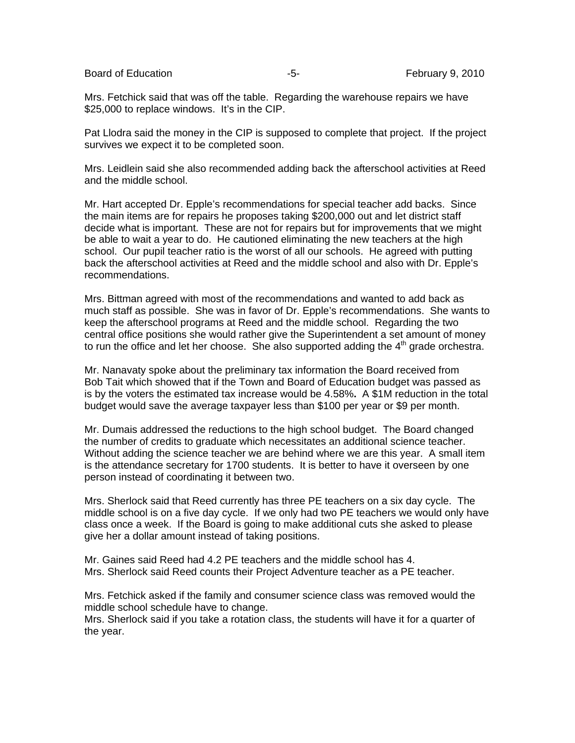Board of Education **Francisco Community** Control Control of Education **February 9, 2010** 

Mrs. Fetchick said that was off the table. Regarding the warehouse repairs we have \$25,000 to replace windows. It's in the CIP.

Pat Llodra said the money in the CIP is supposed to complete that project. If the project survives we expect it to be completed soon.

Mrs. Leidlein said she also recommended adding back the afterschool activities at Reed and the middle school.

Mr. Hart accepted Dr. Epple's recommendations for special teacher add backs. Since the main items are for repairs he proposes taking \$200,000 out and let district staff decide what is important. These are not for repairs but for improvements that we might be able to wait a year to do. He cautioned eliminating the new teachers at the high school. Our pupil teacher ratio is the worst of all our schools. He agreed with putting back the afterschool activities at Reed and the middle school and also with Dr. Epple's recommendations.

Mrs. Bittman agreed with most of the recommendations and wanted to add back as much staff as possible. She was in favor of Dr. Epple's recommendations. She wants to keep the afterschool programs at Reed and the middle school. Regarding the two central office positions she would rather give the Superintendent a set amount of money to run the office and let her choose. She also supported adding the  $4<sup>th</sup>$  grade orchestra.

Mr. Nanavaty spoke about the preliminary tax information the Board received from Bob Tait which showed that if the Town and Board of Education budget was passed as is by the voters the estimated tax increase would be 4.58%**.** A \$1M reduction in the total budget would save the average taxpayer less than \$100 per year or \$9 per month.

Mr. Dumais addressed the reductions to the high school budget. The Board changed the number of credits to graduate which necessitates an additional science teacher. Without adding the science teacher we are behind where we are this year. A small item is the attendance secretary for 1700 students. It is better to have it overseen by one person instead of coordinating it between two.

Mrs. Sherlock said that Reed currently has three PE teachers on a six day cycle. The middle school is on a five day cycle. If we only had two PE teachers we would only have class once a week. If the Board is going to make additional cuts she asked to please give her a dollar amount instead of taking positions.

Mr. Gaines said Reed had 4.2 PE teachers and the middle school has 4. Mrs. Sherlock said Reed counts their Project Adventure teacher as a PE teacher.

Mrs. Fetchick asked if the family and consumer science class was removed would the middle school schedule have to change.

Mrs. Sherlock said if you take a rotation class, the students will have it for a quarter of the year.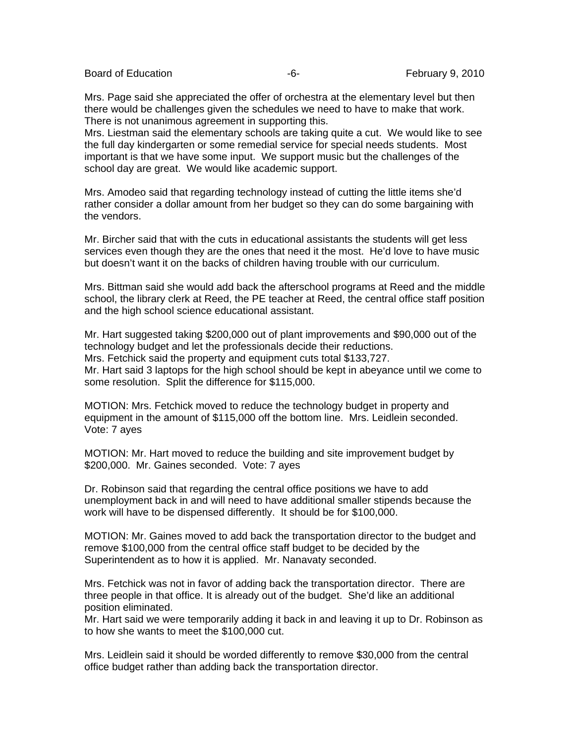Board of Education **Francisco Community** Control Control of Education **February 9, 2010** 

Mrs. Page said she appreciated the offer of orchestra at the elementary level but then there would be challenges given the schedules we need to have to make that work. There is not unanimous agreement in supporting this.

Mrs. Liestman said the elementary schools are taking quite a cut. We would like to see the full day kindergarten or some remedial service for special needs students. Most important is that we have some input. We support music but the challenges of the school day are great. We would like academic support.

Mrs. Amodeo said that regarding technology instead of cutting the little items she'd rather consider a dollar amount from her budget so they can do some bargaining with the vendors.

Mr. Bircher said that with the cuts in educational assistants the students will get less services even though they are the ones that need it the most. He'd love to have music but doesn't want it on the backs of children having trouble with our curriculum.

Mrs. Bittman said she would add back the afterschool programs at Reed and the middle school, the library clerk at Reed, the PE teacher at Reed, the central office staff position and the high school science educational assistant.

Mr. Hart suggested taking \$200,000 out of plant improvements and \$90,000 out of the technology budget and let the professionals decide their reductions. Mrs. Fetchick said the property and equipment cuts total \$133,727. Mr. Hart said 3 laptops for the high school should be kept in abeyance until we come to some resolution. Split the difference for \$115,000.

MOTION: Mrs. Fetchick moved to reduce the technology budget in property and equipment in the amount of \$115,000 off the bottom line. Mrs. Leidlein seconded. Vote: 7 ayes

MOTION: Mr. Hart moved to reduce the building and site improvement budget by \$200,000. Mr. Gaines seconded. Vote: 7 ayes

Dr. Robinson said that regarding the central office positions we have to add unemployment back in and will need to have additional smaller stipends because the work will have to be dispensed differently. It should be for \$100,000.

MOTION: Mr. Gaines moved to add back the transportation director to the budget and remove \$100,000 from the central office staff budget to be decided by the Superintendent as to how it is applied. Mr. Nanavaty seconded.

Mrs. Fetchick was not in favor of adding back the transportation director. There are three people in that office. It is already out of the budget. She'd like an additional position eliminated.

Mr. Hart said we were temporarily adding it back in and leaving it up to Dr. Robinson as to how she wants to meet the \$100,000 cut.

Mrs. Leidlein said it should be worded differently to remove \$30,000 from the central office budget rather than adding back the transportation director.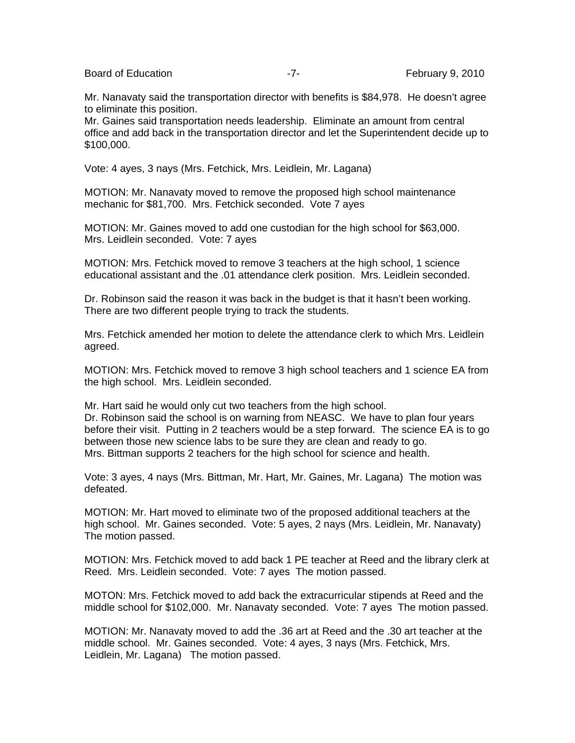Board of Education **February 9, 2010** -7- February 9, 2010

Mr. Nanavaty said the transportation director with benefits is \$84,978. He doesn't agree to eliminate this position.

Mr. Gaines said transportation needs leadership. Eliminate an amount from central office and add back in the transportation director and let the Superintendent decide up to \$100,000.

Vote: 4 ayes, 3 nays (Mrs. Fetchick, Mrs. Leidlein, Mr. Lagana)

MOTION: Mr. Nanavaty moved to remove the proposed high school maintenance mechanic for \$81,700. Mrs. Fetchick seconded. Vote 7 ayes

MOTION: Mr. Gaines moved to add one custodian for the high school for \$63,000. Mrs. Leidlein seconded. Vote: 7 ayes

MOTION: Mrs. Fetchick moved to remove 3 teachers at the high school, 1 science educational assistant and the .01 attendance clerk position. Mrs. Leidlein seconded.

Dr. Robinson said the reason it was back in the budget is that it hasn't been working. There are two different people trying to track the students.

Mrs. Fetchick amended her motion to delete the attendance clerk to which Mrs. Leidlein agreed.

MOTION: Mrs. Fetchick moved to remove 3 high school teachers and 1 science EA from the high school. Mrs. Leidlein seconded.

Mr. Hart said he would only cut two teachers from the high school. Dr. Robinson said the school is on warning from NEASC. We have to plan four years before their visit. Putting in 2 teachers would be a step forward. The science EA is to go between those new science labs to be sure they are clean and ready to go. Mrs. Bittman supports 2 teachers for the high school for science and health.

Vote: 3 ayes, 4 nays (Mrs. Bittman, Mr. Hart, Mr. Gaines, Mr. Lagana) The motion was defeated.

MOTION: Mr. Hart moved to eliminate two of the proposed additional teachers at the high school. Mr. Gaines seconded. Vote: 5 ayes, 2 nays (Mrs. Leidlein, Mr. Nanavaty) The motion passed.

MOTION: Mrs. Fetchick moved to add back 1 PE teacher at Reed and the library clerk at Reed. Mrs. Leidlein seconded. Vote: 7 ayes The motion passed.

MOTON: Mrs. Fetchick moved to add back the extracurricular stipends at Reed and the middle school for \$102,000. Mr. Nanavaty seconded. Vote: 7 ayes The motion passed.

MOTION: Mr. Nanavaty moved to add the .36 art at Reed and the .30 art teacher at the middle school. Mr. Gaines seconded. Vote: 4 ayes, 3 nays (Mrs. Fetchick, Mrs. Leidlein, Mr. Lagana) The motion passed.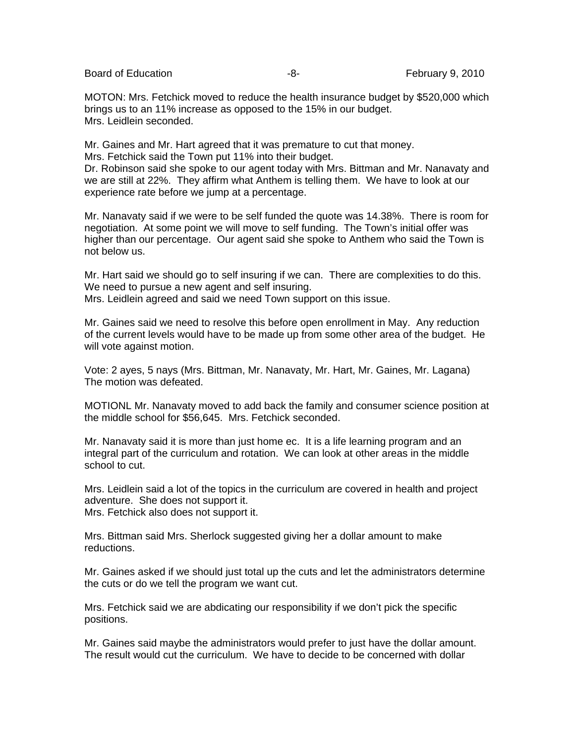Board of Education **-8-** February 9, 2010

MOTON: Mrs. Fetchick moved to reduce the health insurance budget by \$520,000 which brings us to an 11% increase as opposed to the 15% in our budget. Mrs. Leidlein seconded.

Mr. Gaines and Mr. Hart agreed that it was premature to cut that money. Mrs. Fetchick said the Town put 11% into their budget.

Dr. Robinson said she spoke to our agent today with Mrs. Bittman and Mr. Nanavaty and we are still at 22%. They affirm what Anthem is telling them. We have to look at our experience rate before we jump at a percentage.

Mr. Nanavaty said if we were to be self funded the quote was 14.38%. There is room for negotiation. At some point we will move to self funding. The Town's initial offer was higher than our percentage. Our agent said she spoke to Anthem who said the Town is not below us.

Mr. Hart said we should go to self insuring if we can. There are complexities to do this. We need to pursue a new agent and self insuring. Mrs. Leidlein agreed and said we need Town support on this issue.

Mr. Gaines said we need to resolve this before open enrollment in May. Any reduction of the current levels would have to be made up from some other area of the budget. He will vote against motion.

Vote: 2 ayes, 5 nays (Mrs. Bittman, Mr. Nanavaty, Mr. Hart, Mr. Gaines, Mr. Lagana) The motion was defeated.

MOTIONL Mr. Nanavaty moved to add back the family and consumer science position at the middle school for \$56,645. Mrs. Fetchick seconded.

Mr. Nanavaty said it is more than just home ec. It is a life learning program and an integral part of the curriculum and rotation. We can look at other areas in the middle school to cut.

Mrs. Leidlein said a lot of the topics in the curriculum are covered in health and project adventure. She does not support it. Mrs. Fetchick also does not support it.

Mrs. Bittman said Mrs. Sherlock suggested giving her a dollar amount to make reductions.

Mr. Gaines asked if we should just total up the cuts and let the administrators determine the cuts or do we tell the program we want cut.

Mrs. Fetchick said we are abdicating our responsibility if we don't pick the specific positions.

Mr. Gaines said maybe the administrators would prefer to just have the dollar amount. The result would cut the curriculum. We have to decide to be concerned with dollar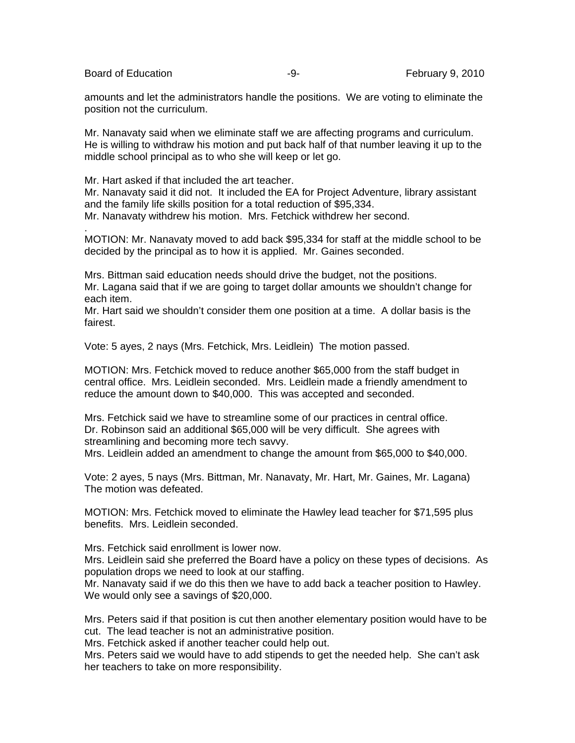Board of Education **Francisco Community** Control Control of Education **February 9, 2010** 

.

amounts and let the administrators handle the positions. We are voting to eliminate the position not the curriculum.

Mr. Nanavaty said when we eliminate staff we are affecting programs and curriculum. He is willing to withdraw his motion and put back half of that number leaving it up to the middle school principal as to who she will keep or let go.

Mr. Hart asked if that included the art teacher.

Mr. Nanavaty said it did not. It included the EA for Project Adventure, library assistant and the family life skills position for a total reduction of \$95,334. Mr. Nanavaty withdrew his motion. Mrs. Fetchick withdrew her second.

MOTION: Mr. Nanavaty moved to add back \$95,334 for staff at the middle school to be decided by the principal as to how it is applied. Mr. Gaines seconded.

Mrs. Bittman said education needs should drive the budget, not the positions. Mr. Lagana said that if we are going to target dollar amounts we shouldn't change for each item.

Mr. Hart said we shouldn't consider them one position at a time. A dollar basis is the fairest.

Vote: 5 ayes, 2 nays (Mrs. Fetchick, Mrs. Leidlein) The motion passed.

MOTION: Mrs. Fetchick moved to reduce another \$65,000 from the staff budget in central office. Mrs. Leidlein seconded. Mrs. Leidlein made a friendly amendment to reduce the amount down to \$40,000. This was accepted and seconded.

Mrs. Fetchick said we have to streamline some of our practices in central office. Dr. Robinson said an additional \$65,000 will be very difficult. She agrees with streamlining and becoming more tech savvy. Mrs. Leidlein added an amendment to change the amount from \$65,000 to \$40,000.

Vote: 2 ayes, 5 nays (Mrs. Bittman, Mr. Nanavaty, Mr. Hart, Mr. Gaines, Mr. Lagana) The motion was defeated.

MOTION: Mrs. Fetchick moved to eliminate the Hawley lead teacher for \$71,595 plus benefits. Mrs. Leidlein seconded.

Mrs. Fetchick said enrollment is lower now.

Mrs. Leidlein said she preferred the Board have a policy on these types of decisions. As population drops we need to look at our staffing.

Mr. Nanavaty said if we do this then we have to add back a teacher position to Hawley. We would only see a savings of \$20,000.

Mrs. Peters said if that position is cut then another elementary position would have to be cut. The lead teacher is not an administrative position.

Mrs. Fetchick asked if another teacher could help out.

Mrs. Peters said we would have to add stipends to get the needed help. She can't ask her teachers to take on more responsibility.